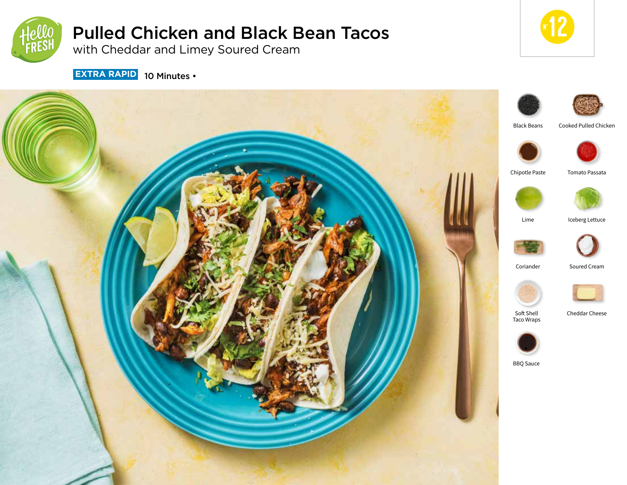

# Pulled Chicken and Black Bean Tacos

with Cheddar and Limey Soured Cream



**EXTRA RAPID** 10 Minutes •